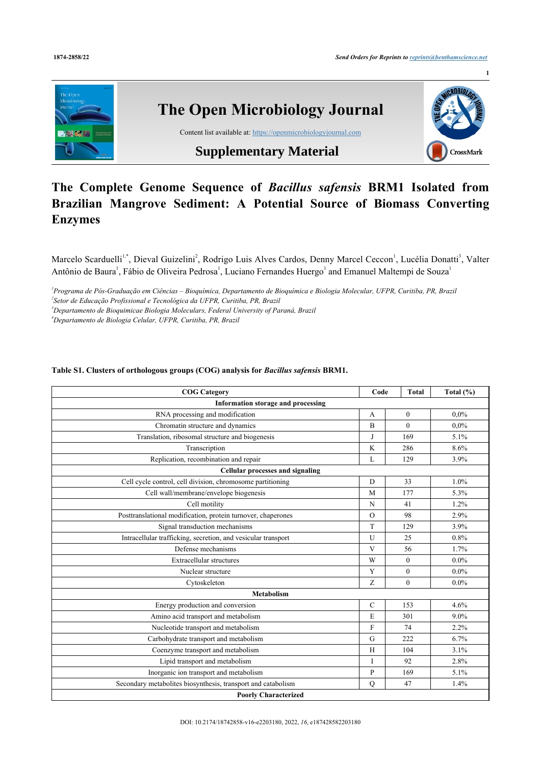

## **The Complete Genome Sequence of** *Bacillus safensis* **BRM1 Isolated from Brazilian Mangrove Sediment: A Potential Source of Biomass Converting Enzymes**

Marcelo Scarduelli<sup>[1](#page-0-0),[\\*](#page--1-0)</sup>, Dieval Guizelini<sup>[2](#page-0-1)</sup>, Rodrigo Luis Alves Cardos, Denny Marcel Ceccon<sup>1</sup>, Lucélia Donatti<sup>[3](#page-0-2)</sup>, Valter Antônio de Baura<sup>[1](#page-0-0)</sup>, Fábio de Oliveira Pedrosa<sup>1</sup>, Luciano Fernandes Huergo<sup>1</sup> and Emanuel Maltempi de Souza<sup>1</sup>

<span id="page-0-1"></span><span id="page-0-0"></span>*1 Programa de Pós-Graduação em Ciências – Bioquímica, Departamento de Bioquímica e Biologia Molecular, UFPR, Curitiba, PR, Brazil*

<span id="page-0-2"></span>*2 Setor de Educação Profissional e Tecnológica da UFPR, Curitiba, PR, Brazil*

*<sup>3</sup>Departamento de Bioquimicae Biologia Moleculars, Federal University of Paraná, Brazil*

*<sup>4</sup>Departamento de Biologia Celular, UFPR, Curitiba, PR, Brazil*

## **Table S1. Clusters of orthologous groups (COG) analysis for** *Bacillus safensis* **BRM1.**

| <b>COG</b> Category                                           | Code           | <b>Total</b> | Total $(\% )$ |  |  |  |
|---------------------------------------------------------------|----------------|--------------|---------------|--|--|--|
| Information storage and processing                            |                |              |               |  |  |  |
| RNA processing and modification                               | A              | $\theta$     | $0.0\%$       |  |  |  |
| Chromatin structure and dynamics                              | $\overline{B}$ | $\theta$     | $0.0\%$       |  |  |  |
| Translation, ribosomal structure and biogenesis               | J              | 169          | 5.1%          |  |  |  |
| Transcription                                                 | K              | 286<br>8.6%  |               |  |  |  |
| Replication, recombination and repair                         | L              | 129          | 3.9%          |  |  |  |
| <b>Cellular processes and signaling</b>                       |                |              |               |  |  |  |
| Cell cycle control, cell division, chromosome partitioning    | D              | 33<br>1.0%   |               |  |  |  |
| Cell wall/membrane/envelope biogenesis                        | 5.3%           |              |               |  |  |  |
| Cell motility                                                 | N              | 41           | 1.2%          |  |  |  |
| Posttranslational modification, protein turnover, chaperones  | $\Omega$       | 98           | 2.9%          |  |  |  |
| Signal transduction mechanisms                                | T              | 129          | 3.9%          |  |  |  |
| Intracellular trafficking, secretion, and vesicular transport | U              | 25           | 0.8%          |  |  |  |
| Defense mechanisms                                            | V              | 56           | 1.7%          |  |  |  |
| Extracellular structures                                      | W              | $\theta$     | $0.0\%$       |  |  |  |
| Nuclear structure                                             | Y              | $\theta$     | $0.0\%$       |  |  |  |
| Cytoskeleton                                                  | Z              | $\theta$     | $0.0\%$       |  |  |  |
| <b>Metabolism</b>                                             |                |              |               |  |  |  |
| Energy production and conversion                              | $\mathcal{C}$  | 153          | 4.6%          |  |  |  |
| Amino acid transport and metabolism                           | E              | 301          | 9.0%          |  |  |  |
| Nucleotide transport and metabolism                           | F              | 74           | 2.2%          |  |  |  |
| Carbohydrate transport and metabolism                         | G              | 222          | 6.7%          |  |  |  |
| Coenzyme transport and metabolism                             | H              | 104          | 3.1%          |  |  |  |
| Lipid transport and metabolism                                | I              | 92           | 2.8%          |  |  |  |
| Inorganic ion transport and metabolism                        | P              | 169          | 5.1%          |  |  |  |
| Secondary metabolites biosynthesis, transport and catabolism  | Q              | 47           | 1.4%          |  |  |  |
| <b>Poorly Characterized</b>                                   |                |              |               |  |  |  |